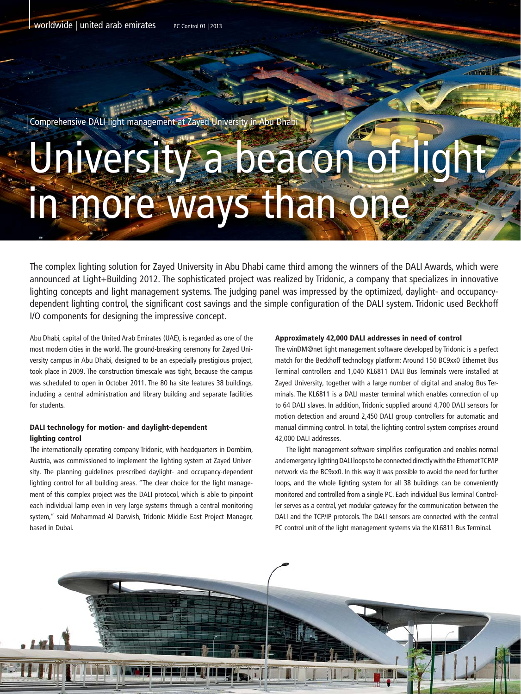worldwide | united arab emirates PC Control 01 | 2013

Comprehensive DALI light management at Zayed University in Abu Dhabi

## University a beacon of light in more ways than one

The complex lighting solution for Zayed University in Abu Dhabi came third among the winners of the DALI Awards, which were announced at Light+Building 2012. The sophisticated project was realized by Tridonic, a company that specializes in innovative lighting concepts and light management systems. The judging panel was impressed by the optimized, daylight- and occupancydependent lighting control, the significant cost savings and the simple configuration of the DALI system. Tridonic used Beckhoff I/O components for designing the impressive concept.

Abu Dhabi, capital of the United Arab Emirates (UAE), is regarded as one of the most modern cities in the world. The ground-breaking ceremony for Zayed University campus in Abu Dhabi, designed to be an especially prestigious project, took place in 2009. The construction timescale was tight, because the campus was scheduled to open in October 2011. The 80 ha site features 38 buildings, including a central administration and library building and separate facilities for students.

## DALI technology for motion- and daylight-dependent lighting control

The internationally operating company Tridonic, with headquarters in Dornbirn, Austria, was commissioned to implement the lighting system at Zayed University. The planning guidelines prescribed daylight- and occupancy-dependent lighting control for all building areas. "The clear choice for the light management of this complex project was the DALI protocol, which is able to pinpoint each individual lamp even in very large systems through a central monitoring system," said Mohammad Al Darwish, Tridonic Middle East Project Manager, based in Dubai.

## Approximately 42,000 DALI addresses in need of control

The winDM@net light management software developed by Tridonic is a perfect match for the Beckhoff technology platform: Around 150 BC9xx0 Ethernet Bus Terminal controllers and 1,040 KL6811 DALI Bus Terminals were installed at Zayed University, together with a large number of digital and analog Bus Terminals. The KL6811 is a DALI master terminal which enables connection of up to 64 DALI slaves. In addition, Tridonic supplied around 4,700 DALI sensors for motion detection and around 2,450 DALI group controllers for automatic and manual dimming control. In total, the lighting control system comprises around 42,000 DALI addresses.

 The light management software simplifies configuration and enables normal and emergency lighting DALI loops to be connected directly with the Ethernet TCP/IP network via the BC9xx0. In this way it was possible to avoid the need for further loops, and the whole lighting system for all 38 buildings can be conveniently monitored and controlled from a single PC. Each individual Bus Terminal Controller serves as a central, yet modular gateway for the communication between the DALI and the TCP/IP protocols. The DALI sensors are connected with the central PC control unit of the light management systems via the KL6811 Bus Terminal.